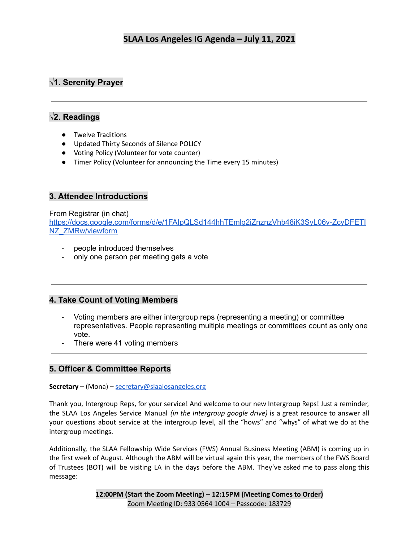# **√1. Serenity Prayer**

## **√2. Readings**

- Twelve Traditions
- Updated Thirty Seconds of Silence POLICY
- Voting Policy (Volunteer for vote counter)
- Timer Policy (Volunteer for announcing the Time every 15 minutes)

## **3. Attendee Introductions**

### From Registrar (in chat)

[https://docs.google.com/forms/d/e/1FAIpQLSd144hhTEmlg2iZnznzVhb48iK3SyL06v-ZcyDFETI](https://docs.google.com/forms/d/e/1FAIpQLSd144hhTEmlg2iZnznzVhb48iK3SyL06v-ZcyDFETINZ_ZMRw/viewform) [NZ\\_ZMRw/viewform](https://docs.google.com/forms/d/e/1FAIpQLSd144hhTEmlg2iZnznzVhb48iK3SyL06v-ZcyDFETINZ_ZMRw/viewform)

- people introduced themselves
- only one person per meeting gets a vote

## **4. Take Count of Voting Members**

- Voting members are either intergroup reps (representing a meeting) or committee representatives. People representing multiple meetings or committees count as only one vote.
- There were 41 voting members

## **5. Officer & Committee Reports**

## **Secretary** – (Mona) – [secretary@slaalosangeles.org](mailto:secretary@slaalosangeles.org)

Thank you, Intergroup Reps, for your service! And welcome to our new Intergroup Reps! Just a reminder, the SLAA Los Angeles Service Manual *(in the Intergroup google drive)* is a great resource to answer all your questions about service at the intergroup level, all the "hows" and "whys" of what we do at the intergroup meetings.

Additionally, the SLAA Fellowship Wide Services (FWS) Annual Business Meeting (ABM) is coming up in the first week of August. Although the ABM will be virtual again this year, the members of the FWS Board of Trustees (BOT) will be visiting LA in the days before the ABM. They've asked me to pass along this message: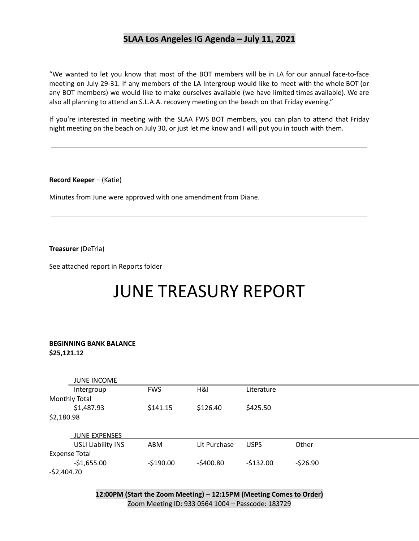"We wanted to let you know that most of the BOT members will be in LA for our annual face-to-face meeting on July 29-31. If any members of the LA Intergroup would like to meet with the whole BOT (or any BOT members) we would like to make ourselves available (we have limited times available). We are also all planning to attend an S.L.A.A. recovery meeting on the beach on that Friday evening."

If you're interested in meeting with the SLAA FWS BOT members, you can plan to attend that Friday night meeting on the beach on July 30, or just let me know and I will put you in touch with them.

**Record Keeper** – (Katie)

Minutes from June were approved with one amendment from Diane.

**Treasurer** (DeTria)

See attached report in Reports folder

# JUNE TREASURY REPORT

#### **BEGINNING BANK BALANCE \$25,121.12**

|                      | <b>JUNE INCOME</b>        |            |              |             |           |  |  |
|----------------------|---------------------------|------------|--------------|-------------|-----------|--|--|
|                      | Intergroup                | <b>FWS</b> | H&I          | Literature  |           |  |  |
| <b>Monthly Total</b> |                           |            |              |             |           |  |  |
|                      | \$1,487.93                | \$141.15   | \$126.40     | \$425.50    |           |  |  |
|                      | \$2,180.98                |            |              |             |           |  |  |
|                      |                           |            |              |             |           |  |  |
|                      | <b>JUNE EXPENSES</b>      |            |              |             |           |  |  |
|                      | <b>USLI Liability INS</b> | ABM        | Lit Purchase | <b>USPS</b> | Other     |  |  |
| <b>Expense Total</b> |                           |            |              |             |           |  |  |
|                      | $-$1,655.00$              | $-$190.00$ | $-5400.80$   | $-$132.00$  | $-526.90$ |  |  |
| $-52,404.70$         |                           |            |              |             |           |  |  |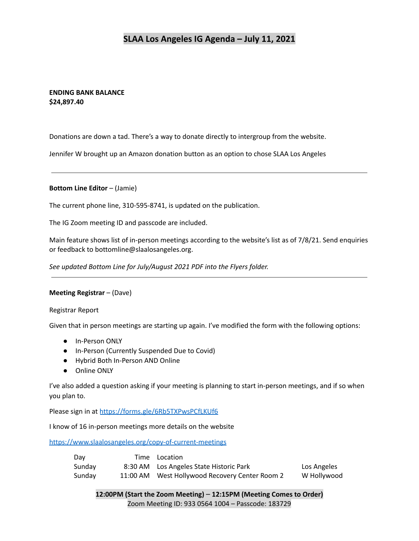### **ENDING BANK BALANCE \$24,897.40**

Donations are down a tad. There's a way to donate directly to intergroup from the website.

Jennifer W brought up an Amazon donation button as an option to chose SLAA Los Angeles

**Bottom Line Editor** – (Jamie)

The current phone line, 310-595-8741, is updated on the publication.

The IG Zoom meeting ID and passcode are included.

Main feature shows list of in-person meetings according to the website's list as of 7/8/21. Send enquiries or feedback to bottomline@slaalosangeles.org.

*See updated Bottom Line for July/August 2021 PDF into the Flyers folder.*

#### **Meeting Registrar** – (Dave)

Registrar Report

Given that in person meetings are starting up again. I've modified the form with the following options:

- In-Person ONLY
- In-Person (Currently Suspended Due to Covid)
- Hybrid Both In-Person AND Online
- Online ONLY

I've also added a question asking if your meeting is planning to start in-person meetings, and if so when you plan to.

Please sign in at <https://forms.gle/6Rb5TXPwsPCfLKUf6>

I know of 16 in-person meetings more details on the website

<https://www.slaalosangeles.org/copy-of-current-meetings>

| Day    |          | Time Location                           |             |
|--------|----------|-----------------------------------------|-------------|
| Sunday |          | 8:30 AM Los Angeles State Historic Park | Los Angeles |
| Sunday | 11:00 AM | West Hollywood Recovery Center Room 2   | W Hollywood |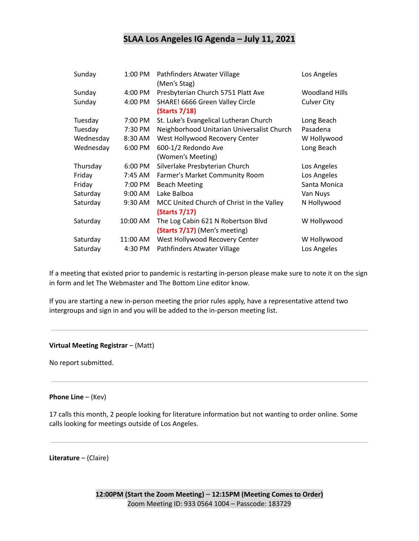| Sunday    | 1:00 PM   | Pathfinders Atwater Village<br>(Men's Stag)                | Los Angeles           |
|-----------|-----------|------------------------------------------------------------|-----------------------|
| Sunday    | 4:00 PM   | Presbyterian Church 5751 Platt Ave                         | <b>Woodland Hills</b> |
| Sunday    | 4:00 PM   | SHARE! 6666 Green Valley Circle<br>(Starts 7/18)           | <b>Culver City</b>    |
| Tuesday   | 7:00 PM   | St. Luke's Evangelical Lutheran Church                     | Long Beach            |
| Tuesday   | 7:30 PM   | Neighborhood Unitarian Universalist Church                 | Pasadena              |
| Wednesday | 8:30 AM   | West Hollywood Recovery Center                             | W Hollywood           |
| Wednesday | 6:00 PM   | 600-1/2 Redondo Ave                                        | Long Beach            |
|           |           | (Women's Meeting)                                          |                       |
| Thursday  | 6:00 PM   | Silverlake Presbyterian Church                             | Los Angeles           |
| Friday    | 7:45 AM   | Farmer's Market Community Room                             | Los Angeles           |
| Friday    | 7:00 PM   | <b>Beach Meeting</b>                                       | Santa Monica          |
| Saturday  | $9:00$ AM | Lake Balboa                                                | Van Nuys              |
| Saturday  | 9:30 AM   | MCC United Church of Christ in the Valley<br>(Starts 7/17) | N Hollywood           |
| Saturday  | 10:00 AM  | The Log Cabin 621 N Robertson Blvd                         | W Hollywood           |
|           |           | (Starts 7/17) (Men's meeting)                              |                       |
| Saturday  | 11:00 AM  | West Hollywood Recovery Center                             | W Hollywood           |
| Saturday  | 4:30 PM   | Pathfinders Atwater Village                                | Los Angeles           |

If a meeting that existed prior to pandemic is restarting in-person please make sure to note it on the sign in form and let The Webmaster and The Bottom Line editor know.

If you are starting a new in-person meeting the prior rules apply, have a representative attend two intergroups and sign in and you will be added to the in-person meeting list.

#### **Virtual Meeting Registrar** – (Matt)

No report submitted.

#### **Phone Line** – (Kev)

17 calls this month, 2 people looking for literature information but not wanting to order online. Some calls looking for meetings outside of Los Angeles.

**Literature** – (Claire)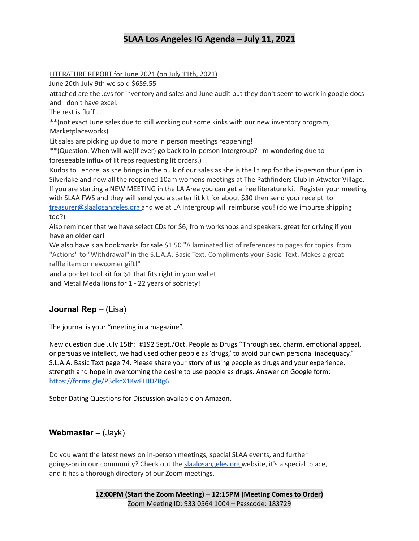LITERATURE REPORT for June 2021 (on July 11th, 2021)

June 20th-July 9th we sold \$659.55

attached are the .cvs for inventory and sales and June audit but they don't seem to work in google docs and I don't have excel.

The rest is fluff ...

\*\*(not exact June sales due to still working out some kinks with our new inventory program, Marketplaceworks)

Lit sales are picking up due to more in person meetings reopening!

\*\*(Question: When will we(if ever) go back to in-person Intergroup? I'm wondering due to foreseeable influx of lit reps requesting lit orders.)

Kudos to Lenore, as she brings in the bulk of our sales as she is the lit rep for the in-person thur 6pm in Silverlake and now all the reopened 10am womens meetings at The Pathfinders Club in Atwater Village. If you are starting a NEW MEETING in the LA Area you can get a free literature kit! Register your meeting with SLAA FWS and they will send you a starter lit kit for about \$30 then send your receipt to treasurer@slaalosangeles.org and we at LA Intergroup will reimburse you! (do we imburse shipping too?)

Also reminder that we have select CDs for \$6, from workshops and speakers, great for driving if you have an older car!

We also have slaa bookmarks for sale \$1.50 "A laminated list of references to pages for topics from "Actions" to "Withdrawal" in the S.L.A.A. Basic Text. Compliments your Basic Text. Makes a great raffle item or newcomer gift!"

and a pocket tool kit for \$1 that fits right in your wallet. and Metal Medallions for 1 - 22 years of sobriety!

# **Journal Rep** – (Lisa)

The journal is your "meeting in a magazine".

New question due July 15th: #192 Sept./Oct. People as Drugs "Through sex, charm, emotional appeal, or persuasive intellect, we had used other people as 'drugs,' to avoid our own personal inadequacy." S.L.A.A. Basic Text page 74. Please share your story of using people as drugs and your experience, strength and hope in overcoming the desire to use people as drugs. Answer on Google form: <https://forms.gle/P3dkcX1KwFHJDZRg6>

Sober Dating Questions for Discussion available on Amazon.

## **Webmaster** – (Jayk)

Do you want the latest news on in-person meetings, special SLAA events, and further goings-on in our community? Check out the slaalosangeles.org website, it's a special place, and it has a thorough directory of our Zoom meetings.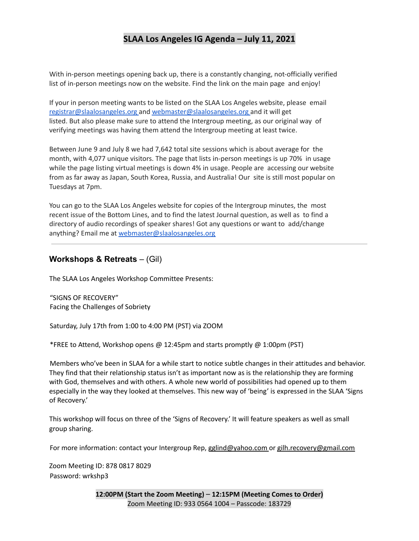With in-person meetings opening back up, there is a constantly changing, not-officially verified list of in-person meetings now on the website. Find the link on the main page and enjoy!

If your in person meeting wants to be listed on the SLAA Los Angeles website, please email registrar@slaalosangeles.org and webmaster@slaalosangeles.org and it will get listed. But also please make sure to attend the Intergroup meeting, as our original way of verifying meetings was having them attend the Intergroup meeting at least twice.

Between June 9 and July 8 we had 7,642 total site sessions which is about average for the month, with 4,077 unique visitors. The page that lists in-person meetings is up 70% in usage while the page listing virtual meetings is down 4% in usage. People are accessing our website from as far away as Japan, South Korea, Russia, and Australia! Our site is still most popular on Tuesdays at 7pm.

You can go to the SLAA Los Angeles website for copies of the Intergroup minutes, the most recent issue of the Bottom Lines, and to find the latest Journal question, as well as to find a directory of audio recordings of speaker shares! Got any questions or want to add/change anything? Email me at webmaster@slaalosangeles.org

## **Workshops & Retreats** – (Gil)

The SLAA Los Angeles Workshop Committee Presents:

"SIGNS OF RECOVERY" Facing the Challenges of Sobriety

Saturday, July 17th from 1:00 to 4:00 PM (PST) via ZOOM

\*FREE to Attend, Workshop opens @ 12:45pm and starts promptly @ 1:00pm (PST)

Members who've been in SLAA for a while start to notice subtle changes in their attitudes and behavior. They find that their relationship status isn't as important now as is the relationship they are forming with God, themselves and with others. A whole new world of possibilities had opened up to them especially in the way they looked at themselves. This new way of 'being' is expressed in the SLAA 'Signs of Recovery.'

This workshop will focus on three of the 'Signs of Recovery.' It will feature speakers as well as small group sharing.

For more information: contact your Intergroup Rep, gglind@yahoo.com or gilh.recovery@gmail.com

Zoom Meeting ID: 878 0817 8029 Password: wrkshp3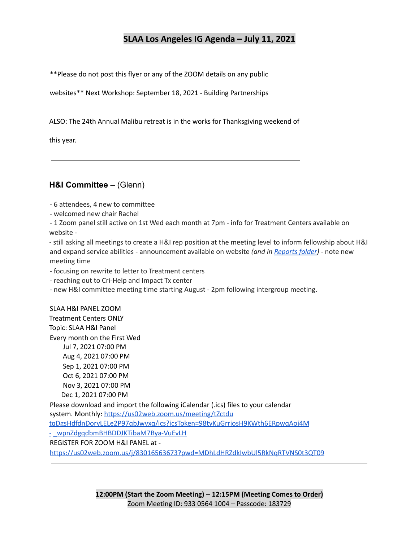\*\*Please do not post this flyer or any of the ZOOM details on any public

websites\*\* Next Workshop: September 18, 2021 - Building Partnerships

ALSO: The 24th Annual Malibu retreat is in the works for Thanksgiving weekend of

this year.

## **H&I Committee** – (Glenn)

- 6 attendees, 4 new to committee

- welcomed new chair Rachel

- 1 Zoom panel still active on 1st Wed each month at 7pm - info for Treatment Centers available on website -

- still asking all meetings to create a H&I rep position at the meeting level to inform fellowship about H&I and expand service abilities - announcement available on website *(and in [Reports](https://drive.google.com/file/d/1N6T0rB9dQ4rNKWjWFjc8KMFSvgnEThfo/view?usp=sharing) folder)* - note new meeting time

- focusing on rewrite to letter to Treatment centers

- reaching out to Cri-Help and Impact Tx center

- new H&I committee meeting time starting August - 2pm following intergroup meeting.

SLAA H&I PANEL ZOOM Treatment Centers ONLY Topic: SLAA H&I Panel Every month on the First Wed Jul 7, 2021 07:00 PM Aug 4, 2021 07:00 PM Sep 1, 2021 07:00 PM Oct 6, 2021 07:00 PM Nov 3, 2021 07:00 PM

Dec 1, 2021 07:00 PM Please download and import the following iCalendar (.ics) files to your calendar system. Monthly: https://us02web.zoom.us/meeting/tZctdu tqDgsHdfdnDoryLELe2P97qbJwvxq/ics?icsToken=98tyKuGrrjosH9KWth6ERpwqAoj4M - \_wpnZdgqdbmBHBDDJKTibaM7Bya-VuEvLH REGISTER FOR ZOOM H&I PANEL at https://us02web.zoom.us/j/83016563673?pwd=MDhLdHRZdkIwbUl5RkNqRTVNS0t3QT09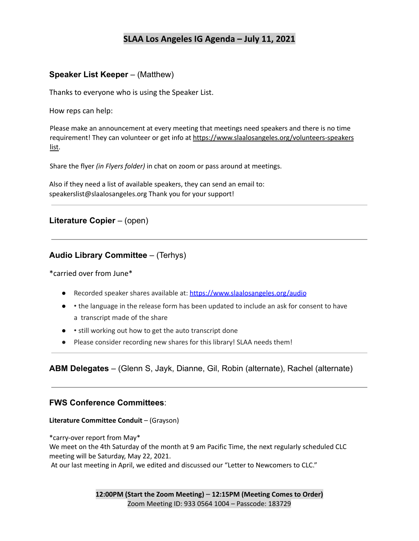## **Speaker List Keeper** – (Matthew)

Thanks to everyone who is using the Speaker List.

How reps can help:

Please make an announcement at every meeting that meetings need speakers and there is no time requirement! They can volunteer or get info at https://www.slaalosangeles.org/volunteers-speakers list.

Share the flyer *(in Flyers folder)* in chat on zoom or pass around at meetings.

Also if they need a list of available speakers, they can send an email to: speakerslist@slaalosangeles.org Thank you for your support!

## **Literature Copier** – (open)

## **Audio Library Committee** – (Terhys)

\*carried over from June\*

- Recorded speaker shares available at: https://www.slaalosangeles.org/audio
- • the language in the release form has been updated to include an ask for consent to have a transcript made of the share
- • still working out how to get the auto transcript done
- Please consider recording new shares for this library! SLAA needs them!

## **ABM Delegates** – (Glenn S, Jayk, Dianne, Gil, Robin (alternate), Rachel (alternate)

## **FWS Conference Committees**:

#### **Literature Committee Conduit** – (Grayson)

\*carry-over report from May\* We meet on the 4th Saturday of the month at 9 am Pacific Time, the next regularly scheduled CLC meeting will be Saturday, May 22, 2021.

At our last meeting in April, we edited and discussed our "Letter to Newcomers to CLC."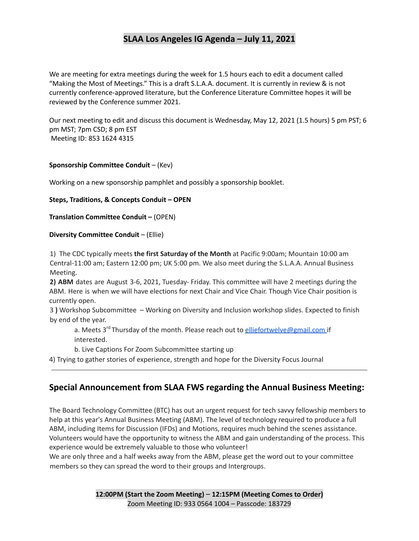We are meeting for extra meetings during the week for 1.5 hours each to edit a document called "Making the Most of Meetings." This is a draft S.L.A.A. document. It is currently in review & is not currently conference-approved literature, but the Conference Literature Committee hopes it will be reviewed by the Conference summer 2021.

Our next meeting to edit and discuss this document is Wednesday, May 12, 2021 (1.5 hours) 5 pm PST; 6 pm MST; 7pm CSD; 8 pm EST Meeting ID: 853 1624 4315

#### **Sponsorship Committee Conduit** – (Kev)

Working on a new sponsorship pamphlet and possibly a sponsorship booklet.

#### **Steps, Traditions, & Concepts Conduit – OPEN**

**Translation Committee Conduit –** (OPEN)

#### **Diversity Committee Conduit** – (Ellie)

1) The CDC typically meets **the first Saturday of the Month** at Pacific 9:00am; Mountain 10:00 am Central-11:00 am; Eastern 12:00 pm; UK 5:00 pm. We also meet during the S.L.A.A. Annual Business Meeting.

**2) ABM** dates are August 3-6, 2021, Tuesday- Friday. This committee will have 2 meetings during the ABM. Here is when we will have elections for next Chair and Vice Chair. Though Vice Chair position is currently open.

3 **)** Workshop Subcommittee – Working on Diversity and Inclusion workshop slides. Expected to finish by end of the year.

a. Meets 3<sup>rd</sup> Thursday of the month. Please reach out to <u>elliefortwelve@gmail.com</u> if interested.

b. Live Captions For Zoom Subcommittee starting up

4) Trying to gather stories of experience, strength and hope for the Diversity Focus Journal

## **Special Announcement from SLAA FWS regarding the Annual Business Meeting:**

The Board Technology Committee (BTC) has out an urgent request for tech savvy fellowship members to help at this year's Annual Business Meeting (ABM). The level of technology required to produce a full ABM, including Items for Discussion (IFDs) and Motions, requires much behind the scenes assistance. Volunteers would have the opportunity to witness the ABM and gain understanding of the process. This experience would be extremely valuable to those who volunteer!

We are only three and a half weeks away from the ABM, please get the word out to your committee members so they can spread the word to their groups and Intergroups.